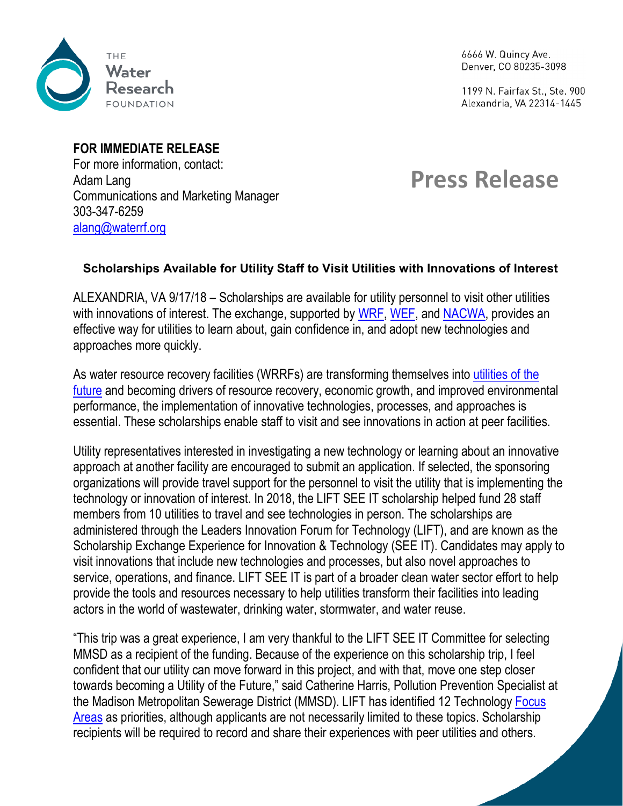

6666 W. Quincy Ave. Denver, CO 80235-3098

1199 N. Fairfax St., Ste. 900 Alexandria, VA 22314-1445

## **FOR IMMEDIATE RELEASE**

For more information, contact: Adam Lang Communications and Marketing Manager 303-347-6259 [alang@waterrf.org](mailto:ccapuco@waterrf.org)

## **Press Release**

## **Scholarships Available for Utility Staff to Visit Utilities with Innovations of Interest**

ALEXANDRIA, VA 9/17/18 – Scholarships are available for utility personnel to visit other utilities with innovations of interest. The exchange, supported by [WRF,](https://urldefense.proofpoint.com/v2/url?u=http-3A__icm-2Dtracking.meltwater.com_link.php-3FDynEngagement-3Dtrue-26H-3DHntimpDLySs5oRWDOt8SOzR3Hp8fSLLgNnk6DD5csIhQHp9s4aTv0bN4nK-252BKTcIR-252FxH7EQeECNt8hrv-252Bw2g5lxMqXgtfEQd1Bdgqil2KOlvb1jGf-252FulxHTr1eanXoFer-26G-3D0-26R-3Dhttp-253A-252F-252Fwww.werf.org-252F-26I-3D20180917200000.00000014ca13-2540mail6-2D101-2Dusnbn1-26X-3DMHwxMDQ2NzU4OjViOWZmYzZhM2UyZGI4NjdmNWRmNWQwODs-253D-26S-3DqpkpdWGqVyZwojNTZp5q9W60cje3mWVK8iAqK93dqaU&d=DwMFaQ&c=euGZstcaTDllvimEN8b7jXrwqOf-v5A_CdpgnVfiiMM&r=_yod8F_VKODG25Rkw5xAVSv235k5YdbYW41lz1pVpew&m=s1mBnkicFhHpAVYwDFjDtIl-k3QumIlnSeEEaKxTr6s&s=f2_hd3kFdhFJRCAcj6lSULY2sOOihskDtroDU7_rnLI&e=) [WEF,](https://urldefense.proofpoint.com/v2/url?u=http-3A__icm-2Dtracking.meltwater.com_link.php-3FDynEngagement-3Dtrue-26H-3DHntimpDLySs5oRWDOt8SOzR3Hp8fSLLgNnk6DD5csIhQHp9s4aTv0bN4nK-252BKTcIR-252FxH7EQeECNt8hrv-252Bw2g5lxMqXgtfEQd1Bdgqil2KOlvb1jGf-252FulxHTr1eanXoFer-26G-3D0-26R-3Dhttp-253A-252F-252Fwww.wef.org-252F-26I-3D20180917200000.00000014ca13-2540mail6-2D101-2Dusnbn1-26X-3DMHwxMDQ2NzU4OjViOWZmYzZhM2UyZGI4NjdmNWRmNWQwODs-253D-26S-3D2-5FzyhwRGAWIkYcLliTNxYEkDrSKst6NAA-5F4fNUptPkU&d=DwMFaQ&c=euGZstcaTDllvimEN8b7jXrwqOf-v5A_CdpgnVfiiMM&r=_yod8F_VKODG25Rkw5xAVSv235k5YdbYW41lz1pVpew&m=s1mBnkicFhHpAVYwDFjDtIl-k3QumIlnSeEEaKxTr6s&s=sZaSCPBdw8_u41POsA4YJZfU0hmBJpvmhoOudO3770o&e=) and [NACWA,](https://urldefense.proofpoint.com/v2/url?u=http-3A__icm-2Dtracking.meltwater.com_link.php-3FDynEngagement-3Dtrue-26H-3DHntimpDLySs5oRWDOt8SOzR3Hp8fSLLgNnk6DD5csIhQHp9s4aTv0bN4nK-252BKTcIR-252FxH7EQeECNt8hrv-252Bw2g5lxMqXgtfEQd1Bdgqil2KOlvb1jGf-252FulxHTr1eanXoFer-26G-3D0-26R-3Dhttp-253A-252F-252Fwww.nacwa.org-252F-26I-3D20180917200000.00000014ca13-2540mail6-2D101-2Dusnbn1-26X-3DMHwxMDQ2NzU4OjViOWZmYzZhM2UyZGI4NjdmNWRmNWQwODs-253D-26S-3DuPeTPUhF0OuiY9DV8cqIKU0BvDZs-5F7HOA-5F19ME5cAr4&d=DwMFaQ&c=euGZstcaTDllvimEN8b7jXrwqOf-v5A_CdpgnVfiiMM&r=_yod8F_VKODG25Rkw5xAVSv235k5YdbYW41lz1pVpew&m=s1mBnkicFhHpAVYwDFjDtIl-k3QumIlnSeEEaKxTr6s&s=6Nmam7EAidR4OBiLI4WNkmKaqoDGkILAdGW8gQ7yv6c&e=) provides an effective way for utilities to learn about, gain confidence in, and adopt new technologies and approaches more quickly.

As water resource recovery facilities (WRRFs) are transforming themselves into [utilities of the](https://urldefense.proofpoint.com/v2/url?u=http-3A__icm-2Dtracking.meltwater.com_link.php-3FDynEngagement-3Dtrue-26H-3DHntimpDLySs5oRWDOt8SOzR3Hp8fSLLgNnk6DD5csIhQHp9s4aTv0bN4nK-252BKTcIR-252FxH7EQeECNt8hrv-252Bw2g5lxMqXgtfEQd1Bdgqil2KOlvb1jGf-252FulxHTr1eanXoFer-26G-3D0-26R-3Dhttp-253A-252F-252Fwww.nacwa.org-252Fresources-252Futility-2Dof-2Dthe-2Dfuture-26I-3D20180917200000.00000014ca13-2540mail6-2D101-2Dusnbn1-26X-3DMHwxMDQ2NzU4OjViOWZmYzZhM2UyZGI4NjdmNWRmNWQwODs-253D-26S-3Dj51-5FsMMs9dsJqd-5Ffn7MzE8-2DcBNGqqapzIiDQhy0K2fk&d=DwMFaQ&c=euGZstcaTDllvimEN8b7jXrwqOf-v5A_CdpgnVfiiMM&r=_yod8F_VKODG25Rkw5xAVSv235k5YdbYW41lz1pVpew&m=s1mBnkicFhHpAVYwDFjDtIl-k3QumIlnSeEEaKxTr6s&s=43dbwNYT9MJGZ8EWjswMG5kQmTYGaUkmmEDZgWR4nvw&e=)  [future](https://urldefense.proofpoint.com/v2/url?u=http-3A__icm-2Dtracking.meltwater.com_link.php-3FDynEngagement-3Dtrue-26H-3DHntimpDLySs5oRWDOt8SOzR3Hp8fSLLgNnk6DD5csIhQHp9s4aTv0bN4nK-252BKTcIR-252FxH7EQeECNt8hrv-252Bw2g5lxMqXgtfEQd1Bdgqil2KOlvb1jGf-252FulxHTr1eanXoFer-26G-3D0-26R-3Dhttp-253A-252F-252Fwww.nacwa.org-252Fresources-252Futility-2Dof-2Dthe-2Dfuture-26I-3D20180917200000.00000014ca13-2540mail6-2D101-2Dusnbn1-26X-3DMHwxMDQ2NzU4OjViOWZmYzZhM2UyZGI4NjdmNWRmNWQwODs-253D-26S-3Dj51-5FsMMs9dsJqd-5Ffn7MzE8-2DcBNGqqapzIiDQhy0K2fk&d=DwMFaQ&c=euGZstcaTDllvimEN8b7jXrwqOf-v5A_CdpgnVfiiMM&r=_yod8F_VKODG25Rkw5xAVSv235k5YdbYW41lz1pVpew&m=s1mBnkicFhHpAVYwDFjDtIl-k3QumIlnSeEEaKxTr6s&s=43dbwNYT9MJGZ8EWjswMG5kQmTYGaUkmmEDZgWR4nvw&e=) and becoming drivers of resource recovery, economic growth, and improved environmental performance, the implementation of innovative technologies, processes, and approaches is essential. These scholarships enable staff to visit and see innovations in action at peer facilities.

Utility representatives interested in investigating a new technology or learning about an innovative approach at another facility are encouraged to submit an application. If selected, the sponsoring organizations will provide travel support for the personnel to visit the utility that is implementing the technology or innovation of interest. In 2018, the LIFT SEE IT scholarship helped fund 28 staff members from 10 utilities to travel and see technologies in person. The scholarships are administered through the Leaders Innovation Forum for Technology (LIFT), and are known as the Scholarship Exchange Experience for Innovation & Technology (SEE IT). Candidates may apply to visit innovations that include new technologies and processes, but also novel approaches to service, operations, and finance. LIFT SEE IT is part of a broader clean water sector effort to help provide the tools and resources necessary to help utilities transform their facilities into leading actors in the world of wastewater, drinking water, stormwater, and water reuse.

"This trip was a great experience, I am very thankful to the LIFT SEE IT Committee for selecting MMSD as a recipient of the funding. Because of the experience on this scholarship trip, I feel confident that our utility can move forward in this project, and with that, move one step closer towards becoming a Utility of the Future," said Catherine Harris, Pollution Prevention Specialist at the Madison Metropolitan Sewerage District (MMSD). LIFT has identified 12 Technology [Focus](https://urldefense.proofpoint.com/v2/url?u=http-3A__icm-2Dtracking.meltwater.com_link.php-3FDynEngagement-3Dtrue-26H-3DHntimpDLySs5oRWDOt8SOzR3Hp8fSLLgNnk6DD5csIhQHp9s4aTv0bN4nK-252BKTcIR-252FxH7EQeECNt8hrv-252Bw2g5lxMqXgtfEQd1Bdgqil2KOlvb1jGf-252FulxHTr1eanXoFer-26G-3D0-26R-3Dhttp-253A-252F-252Fwww.werf.org-252Flift-252FFocus-5FAreas-252Flift-252FLIFT-5FTech-5FFocus-5FAreas.aspx-253Fhkey-253D299ba6a5-2Df6c0-2D4651-2Dbd2f-2Df78b14a3e7aa-26I-3D20180917200000.00000014ca13-2540mail6-2D101-2Dusnbn1-26X-3DMHwxMDQ2NzU4OjViOWZmYzZhM2UyZGI4NjdmNWRmNWQwODs-253D-26S-3Dsd8SeBNAeZVivD10bvrve-5F03BRWCFz1utW-5FqUGUhqwg&d=DwMFaQ&c=euGZstcaTDllvimEN8b7jXrwqOf-v5A_CdpgnVfiiMM&r=_yod8F_VKODG25Rkw5xAVSv235k5YdbYW41lz1pVpew&m=s1mBnkicFhHpAVYwDFjDtIl-k3QumIlnSeEEaKxTr6s&s=QrdGz3LfOEXqK3advAqJ8FTdFhnKNCGrjXK3EjA_g30&e=)  [Areas](https://urldefense.proofpoint.com/v2/url?u=http-3A__icm-2Dtracking.meltwater.com_link.php-3FDynEngagement-3Dtrue-26H-3DHntimpDLySs5oRWDOt8SOzR3Hp8fSLLgNnk6DD5csIhQHp9s4aTv0bN4nK-252BKTcIR-252FxH7EQeECNt8hrv-252Bw2g5lxMqXgtfEQd1Bdgqil2KOlvb1jGf-252FulxHTr1eanXoFer-26G-3D0-26R-3Dhttp-253A-252F-252Fwww.werf.org-252Flift-252FFocus-5FAreas-252Flift-252FLIFT-5FTech-5FFocus-5FAreas.aspx-253Fhkey-253D299ba6a5-2Df6c0-2D4651-2Dbd2f-2Df78b14a3e7aa-26I-3D20180917200000.00000014ca13-2540mail6-2D101-2Dusnbn1-26X-3DMHwxMDQ2NzU4OjViOWZmYzZhM2UyZGI4NjdmNWRmNWQwODs-253D-26S-3Dsd8SeBNAeZVivD10bvrve-5F03BRWCFz1utW-5FqUGUhqwg&d=DwMFaQ&c=euGZstcaTDllvimEN8b7jXrwqOf-v5A_CdpgnVfiiMM&r=_yod8F_VKODG25Rkw5xAVSv235k5YdbYW41lz1pVpew&m=s1mBnkicFhHpAVYwDFjDtIl-k3QumIlnSeEEaKxTr6s&s=QrdGz3LfOEXqK3advAqJ8FTdFhnKNCGrjXK3EjA_g30&e=) as priorities, although applicants are not necessarily limited to these topics. Scholarship recipients will be required to record and share their experiences with peer utilities and others.